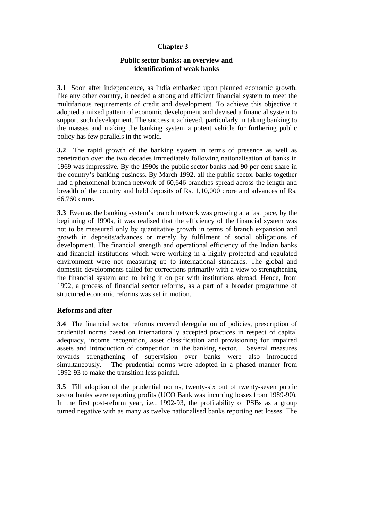# **Chapter 3**

## **Public sector banks: an overview and identification of weak banks**

**3.1** Soon after independence, as India embarked upon planned economic growth, like any other country, it needed a strong and efficient financial system to meet the multifarious requirements of credit and development. To achieve this objective it adopted a mixed pattern of economic development and devised a financial system to support such development. The success it achieved, particularly in taking banking to the masses and making the banking system a potent vehicle for furthering public policy has few parallels in the world.

**3.2** The rapid growth of the banking system in terms of presence as well as penetration over the two decades immediately following nationalisation of banks in 1969 was impressive. By the 1990s the public sector banks had 90 per cent share in the country's banking business. By March 1992, all the public sector banks together had a phenomenal branch network of 60,646 branches spread across the length and breadth of the country and held deposits of Rs. 1,10,000 crore and advances of Rs. 66,760 crore.

**3.3** Even as the banking system's branch network was growing at a fast pace, by the beginning of 1990s, it was realised that the efficiency of the financial system was not to be measured only by quantitative growth in terms of branch expansion and growth in deposits/advances or merely by fulfilment of social obligations of development. The financial strength and operational efficiency of the Indian banks and financial institutions which were working in a highly protected and regulated environment were not measuring up to international standards. The global and domestic developments called for corrections primarily with a view to strengthening the financial system and to bring it on par with institutions abroad. Hence, from 1992, a process of financial sector reforms, as a part of a broader programme of structured economic reforms was set in motion.

#### **Reforms and after**

**3.4** The financial sector reforms covered deregulation of policies, prescription of prudential norms based on internationally accepted practices in respect of capital adequacy, income recognition, asset classification and provisioning for impaired assets and introduction of competition in the banking sector. Several measures towards strengthening of supervision over banks were also introduced simultaneously. The prudential norms were adopted in a phased manner from 1992-93 to make the transition less painful.

**3.5** Till adoption of the prudential norms, twenty-six out of twenty-seven public sector banks were reporting profits (UCO Bank was incurring losses from 1989-90). In the first post-reform year, i.e., 1992-93, the profitability of PSBs as a group turned negative with as many as twelve nationalised banks reporting net losses. The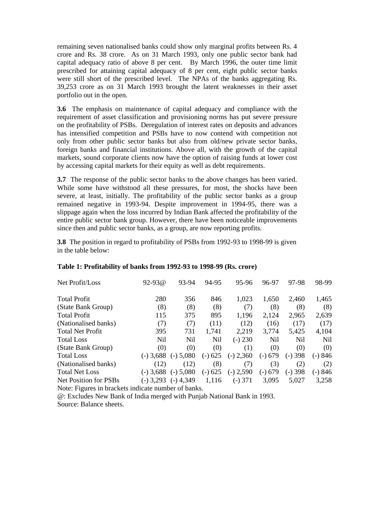remaining seven nationalised banks could show only marginal profits between Rs. 4 crore and Rs. 38 crore. As on 31 March 1993, only one public sector bank had capital adequacy ratio of above 8 per cent. By March 1996, the outer time limit prescribed for attaining capital adequacy of 8 per cent, eight public sector banks were still short of the prescribed level. The NPAs of the banks aggregating Rs. 39,253 crore as on 31 March 1993 brought the latent weaknesses in their asset portfolio out in the open.

**3.6** The emphasis on maintenance of capital adequacy and compliance with the requirement of asset classification and provisioning norms has put severe pressure on the profitability of PSBs. Deregulation of interest rates on deposits and advances has intensified competition and PSBs have to now contend with competition not only from other public sector banks but also from old/new private sector banks, foreign banks and financial institutions. Above all, with the growth of the capital markets, sound corporate clients now have the option of raising funds at lower cost by accessing capital markets for their equity as well as debt requirements.

**3.7** The response of the public sector banks to the above changes has been varied. While some have withstood all these pressures, for most, the shocks have been severe, at least, initially. The profitability of the public sector banks as a group remained negative in 1993-94. Despite improvement in 1994-95, there was a slippage again when the loss incurred by Indian Bank affected the profitability of the entire public sector bank group. However, there have been noticeable improvements since then and public sector banks, as a group, are now reporting profits.

**3.8** The position in regard to profitability of PSBs from 1992-93 to 1998-99 is given in the table below:

| Net Profit/Loss                                     | $92 - 93$ @ | 93-94       | 94-95     | 95-96       | 96-97      | 97-98     | 98-99   |
|-----------------------------------------------------|-------------|-------------|-----------|-------------|------------|-----------|---------|
| <b>Total Profit</b>                                 | 280         | 356         | 846       | 1,023       | 1,650      | 2,460     | 1,465   |
| (State Bank Group)                                  | (8)         | (8)         | (8)       | (7)         | (8)        | (8)       | (8)     |
| <b>Total Profit</b>                                 | 115         | 375         | 895       | 1,196       | 2,124      | 2,965     | 2,639   |
| (Nationalised banks)                                | (7)         | (7)         | (11)      | (12)        | (16)       | (17)      | (17)    |
| <b>Total Net Profit</b>                             | 395         | 731         | 1,741     | 2,219       | 3,774      | 5,425     | 4,104   |
| <b>Total Loss</b>                                   | Nil         | Nil         | Nil       | $(-) 230$   | <b>Nil</b> | Nil       | Nil     |
| (State Bank Group)                                  | (0)         | (0)         | (0)       | (1)         | (0)        | (0)       | (0)     |
| <b>Total Loss</b>                                   | $(-)$ 3,688 | $(-)$ 5,080 | $(-) 625$ | $(-) 2,360$ | $(-) 679$  | $(-)$ 398 | $-)846$ |
| (Nationalised banks)                                | (12)        | (12)        | (8)       | (7)         | (3)        | (2)       | (2)     |
| <b>Total Net Loss</b>                               | $(-)$ 3,688 | $(-)$ 5,080 | $(-) 625$ | $(-) 2,590$ | $(-) 679$  | $(-)$ 398 | (-) 846 |
| Net Position for PSBs                               | $(-)$ 3,293 | $(-)$ 4,349 | 1,116     | $(-)$ 371   | 3,095      | 5,027     | 3,258   |
| Note: Figures in brackets indicate number of banks. |             |             |           |             |            |           |         |

#### **Table 1: Profitability of banks from 1992-93 to 1998-99 (Rs. crore)**

@: Excludes New Bank of India merged with Punjab National Bank in 1993.

Source: Balance sheets.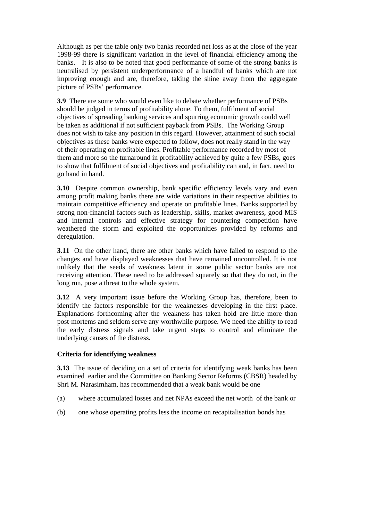Although as per the table only two banks recorded net loss as at the close of the year 1998-99 there is significant variation in the level of financial efficiency among the banks. It is also to be noted that good performance of some of the strong banks is neutralised by persistent underperformance of a handful of banks which are not improving enough and are, therefore, taking the shine away from the aggregate picture of PSBs' performance.

**3.9** There are some who would even like to debate whether performance of PSBs should be judged in terms of profitability alone. To them, fulfilment of social objectives of spreading banking services and spurring economic growth could well be taken as additional if not sufficient payback from PSBs. The Working Group does not wish to take any position in this regard. However, attainment of such social objectives as these banks were expected to follow, does not really stand in the way of their operating on profitable lines. Profitable performance recorded by most of them and more so the turnaround in profitability achieved by quite a few PSBs, goes to show that fulfilment of social objectives and profitability can and, in fact, need to go hand in hand.

**3.10** Despite common ownership, bank specific efficiency levels vary and even among profit making banks there are wide variations in their respective abilities to maintain competitive efficiency and operate on profitable lines. Banks supported by strong non-financial factors such as leadership, skills, market awareness, good MIS and internal controls and effective strategy for countering competition have weathered the storm and exploited the opportunities provided by reforms and deregulation.

**3.11** On the other hand, there are other banks which have failed to respond to the changes and have displayed weaknesses that have remained uncontrolled. It is not unlikely that the seeds of weakness latent in some public sector banks are not receiving attention. These need to be addressed squarely so that they do not, in the long run, pose a threat to the whole system.

**3.12** A very important issue before the Working Group has, therefore, been to identify the factors responsible for the weaknesses developing in the first place. Explanations forthcoming after the weakness has taken hold are little more than post-mortems and seldom serve any worthwhile purpose. We need the ability to read the early distress signals and take urgent steps to control and eliminate the underlying causes of the distress.

#### **Criteria for identifying weakness**

**3.13** The issue of deciding on a set of criteria for identifying weak banks has been examined earlier and the Committee on Banking Sector Reforms (CBSR) headed by Shri M. Narasimham, has recommended that a weak bank would be one

- (a) where accumulated losses and net NPAs exceed the net worth of the bank or
- (b) one whose operating profits less the income on recapitalisation bonds has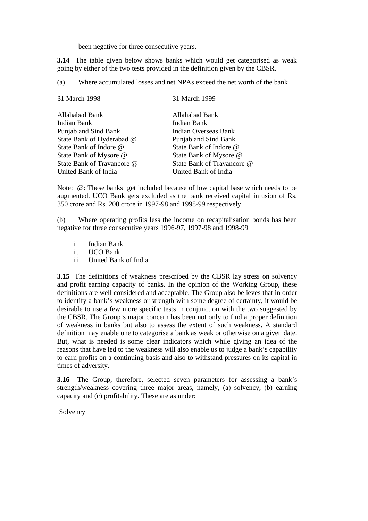been negative for three consecutive years.

**3.14** The table given below shows banks which would get categorised as weak going by either of the two tests provided in the definition given by the CBSR.

(a) Where accumulated losses and net NPAs exceed the net worth of the bank

| 31 March 1998              | 31 March 1999               |
|----------------------------|-----------------------------|
| Allahabad Bank             | Allahabad Bank              |
| Indian Bank                | Indian Bank                 |
| Punjab and Sind Bank       | <b>Indian Overseas Bank</b> |
| State Bank of Hyderabad @  | Punjab and Sind Bank        |
| State Bank of Indore @     | State Bank of Indore @      |
| State Bank of Mysore @     | State Bank of Mysore @      |
| State Bank of Travancore @ | State Bank of Travancore @  |
| United Bank of India       | United Bank of India        |

Note:  $@$ : These banks get included because of low capital base which needs to be augmented. UCO Bank gets excluded as the bank received capital infusion of Rs. 350 crore and Rs. 200 crore in 1997-98 and 1998-99 respectively.

(b) Where operating profits less the income on recapitalisation bonds has been negative for three consecutive years 1996-97, 1997-98 and 1998-99

- i. Indian Bank
- ii. UCO Bank
- iii. United Bank of India

**3.15** The definitions of weakness prescribed by the CBSR lay stress on solvency and profit earning capacity of banks. In the opinion of the Working Group, these definitions are well considered and acceptable. The Group also believes that in order to identify a bank's weakness or strength with some degree of certainty, it would be desirable to use a few more specific tests in conjunction with the two suggested by the CBSR. The Group's major concern has been not only to find a proper definition of weakness in banks but also to assess the extent of such weakness. A standard definition may enable one to categorise a bank as weak or otherwise on a given date. But, what is needed is some clear indicators which while giving an idea of the reasons that have led to the weakness will also enable us to judge a bank's capability to earn profits on a continuing basis and also to withstand pressures on its capital in times of adversity.

**3.16** The Group, therefore, selected seven parameters for assessing a bank's strength/weakness covering three major areas, namely, (a) solvency, (b) earning capacity and (c) profitability. These are as under:

Solvency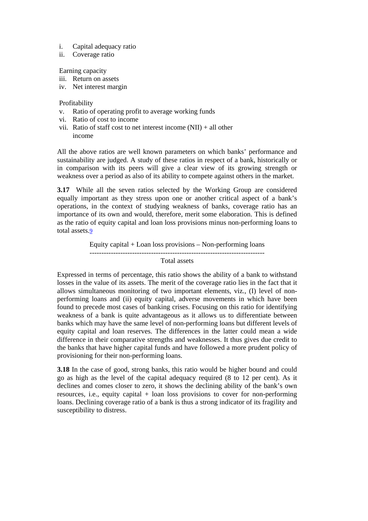- i. Capital adequacy ratio
- ii. Coverage ratio

Earning capacity

- iii. Return on assets
- iv. Net interest margin

Profitability

- v. Ratio of operating profit to average working funds
- vi. Ratio of cost to income
- vii. Ratio of staff cost to net interest income  $(NII) + all$  other income

All the above ratios are well known parameters on which banks' performance and sustainability are judged. A study of these ratios in respect of a bank, historically or in comparison with its peers will give a clear view of its growing strength or weakness over a period as also of its ability to compete against others in the market.

**3.17** While all the seven ratios selected by the Working Group are considered equally important as they stress upon one or another critical aspect of a bank's operations, in the context of studying weakness of banks, coverage ratio has an importance of its own and would, therefore, merit some elaboration. This is defined as the ratio of equity capital and loan loss provisions minus non-performing loans to total assets.9

> Equity capital + Loan loss provisions – Non-performing loans Total assets

Expressed in terms of percentage, this ratio shows the ability of a bank to withstand losses in the value of its assets. The merit of the coverage ratio lies in the fact that it allows simultaneous monitoring of two important elements, viz*.*, (I) level of nonperforming loans and (ii) equity capital, adverse movements in which have been found to precede most cases of banking crises. Focusing on this ratio for identifying weakness of a bank is quite advantageous as it allows us to differentiate between banks which may have the same level of non-performing loans but different levels of equity capital and loan reserves. The differences in the latter could mean a wide difference in their comparative strengths and weaknesses. It thus gives due credit to the banks that have higher capital funds and have followed a more prudent policy of provisioning for their non-performing loans.

**3.18** In the case of good, strong banks, this ratio would be higher bound and could go as high as the level of the capital adequacy required (8 to 12 per cent). As it declines and comes closer to zero, it shows the declining ability of the bank's own resources, i.e., equity capital + loan loss provisions to cover for non-performing loans. Declining coverage ratio of a bank is thus a strong indicator of its fragility and susceptibility to distress.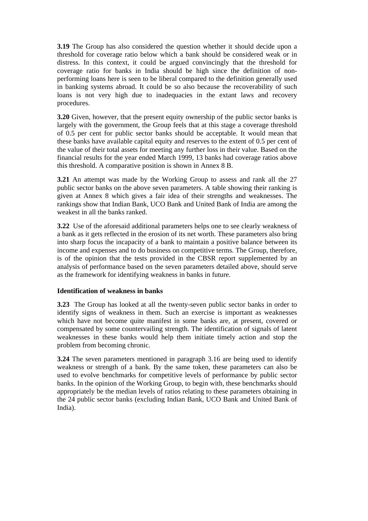**3.19** The Group has also considered the question whether it should decide upon a threshold for coverage ratio below which a bank should be considered weak or in distress. In this context, it could be argued convincingly that the threshold for coverage ratio for banks in India should be high since the definition of nonperforming loans here is seen to be liberal compared to the definition generally used in banking systems abroad. It could be so also because the recoverability of such loans is not very high due to inadequacies in the extant laws and recovery procedures.

**3.20** Given, however, that the present equity ownership of the public sector banks is largely with the government, the Group feels that at this stage a coverage threshold of 0.5 per cent for public sector banks should be acceptable. It would mean that these banks have available capital equity and reserves to the extent of 0.5 per cent of the value of their total assets for meeting any further loss in their value. Based on the financial results for the year ended March 1999, 13 banks had coverage ratios above this threshold. A comparative position is shown in Annex 8 B.

**3.21** An attempt was made by the Working Group to assess and rank all the 27 public sector banks on the above seven parameters. A table showing their ranking is given at Annex 8 which gives a fair idea of their strengths and weaknesses. The rankings show that Indian Bank, UCO Bank and United Bank of India are among the weakest in all the banks ranked.

**3.22** Use of the aforesaid additional parameters helps one to see clearly weakness of a bank as it gets reflected in the erosion of its net worth. These parameters also bring into sharp focus the incapacity of a bank to maintain a positive balance between its income and expenses and to do business on competitive terms. The Group, therefore, is of the opinion that the tests provided in the CBSR report supplemented by an analysis of performance based on the seven parameters detailed above, should serve as the framework for identifying weakness in banks in future.

#### **Identification of weakness in banks**

**3.23** The Group has looked at all the twenty-seven public sector banks in order to identify signs of weakness in them. Such an exercise is important as weaknesses which have not become quite manifest in some banks are, at present, covered or compensated by some countervailing strength. The identification of signals of latent weaknesses in these banks would help them initiate timely action and stop the problem from becoming chronic.

**3.24** The seven parameters mentioned in paragraph 3.16 are being used to identify weakness or strength of a bank. By the same token, these parameters can also be used to evolve benchmarks for competitive levels of performance by public sector banks. In the opinion of the Working Group, to begin with, these benchmarks should appropriately be the median levels of ratios relating to these parameters obtaining in the 24 public sector banks (excluding Indian Bank, UCO Bank and United Bank of India).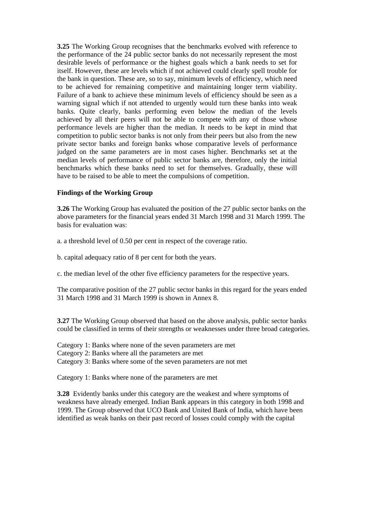**3.25** The Working Group recognises that the benchmarks evolved with reference to the performance of the 24 public sector banks do not necessarily represent the most desirable levels of performance or the highest goals which a bank needs to set for itself. However, these are levels which if not achieved could clearly spell trouble for the bank in question. These are, so to say, minimum levels of efficiency, which need to be achieved for remaining competitive and maintaining longer term viability. Failure of a bank to achieve these minimum levels of efficiency should be seen as a warning signal which if not attended to urgently would turn these banks into weak banks. Quite clearly, banks performing even below the median of the levels achieved by all their peers will not be able to compete with any of those whose performance levels are higher than the median. It needs to be kept in mind that competition to public sector banks is not only from their peers but also from the new private sector banks and foreign banks whose comparative levels of performance judged on the same parameters are in most cases higher. Benchmarks set at the median levels of performance of public sector banks are, therefore, only the initial benchmarks which these banks need to set for themselves. Gradually, these will have to be raised to be able to meet the compulsions of competition.

### **Findings of the Working Group**

**3.26** The Working Group has evaluated the position of the 27 public sector banks on the above parameters for the financial years ended 31 March 1998 and 31 March 1999. The basis for evaluation was:

a. a threshold level of 0.50 per cent in respect of the coverage ratio.

b. capital adequacy ratio of 8 per cent for both the years.

c. the median level of the other five efficiency parameters for the respective years.

The comparative position of the 27 public sector banks in this regard for the years ended 31 March 1998 and 31 March 1999 is shown in Annex 8.

**3.27** The Working Group observed that based on the above analysis, public sector banks could be classified in terms of their strengths or weaknesses under three broad categories.

Category 1: Banks where none of the seven parameters are met Category 2: Banks where all the parameters are met Category 3: Banks where some of the seven parameters are not met

Category 1: Banks where none of the parameters are met

**3.28** Evidently banks under this category are the weakest and where symptoms of weakness have already emerged. Indian Bank appears in this category in both 1998 and 1999. The Group observed that UCO Bank and United Bank of India, which have been identified as weak banks on their past record of losses could comply with the capital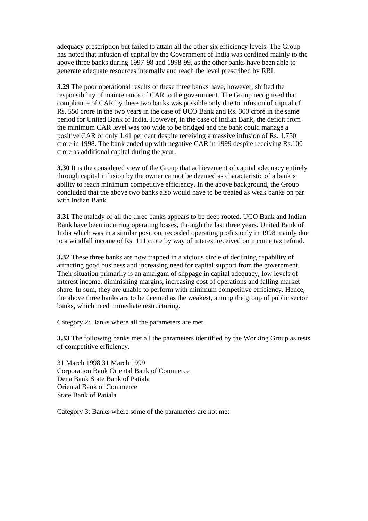adequacy prescription but failed to attain all the other six efficiency levels. The Group has noted that infusion of capital by the Government of India was confined mainly to the above three banks during 1997-98 and 1998-99, as the other banks have been able to generate adequate resources internally and reach the level prescribed by RBI.

**3.29** The poor operational results of these three banks have, however, shifted the responsibility of maintenance of CAR to the government. The Group recognised that compliance of CAR by these two banks was possible only due to infusion of capital of Rs. 550 crore in the two years in the case of UCO Bank and Rs. 300 crore in the same period for United Bank of India. However, in the case of Indian Bank, the deficit from the minimum CAR level was too wide to be bridged and the bank could manage a positive CAR of only 1.41 per cent despite receiving a massive infusion of Rs. 1,750 crore in 1998. The bank ended up with negative CAR in 1999 despite receiving Rs.100 crore as additional capital during the year.

**3.30** It is the considered view of the Group that achievement of capital adequacy entirely through capital infusion by the owner cannot be deemed as characteristic of a bank's ability to reach minimum competitive efficiency. In the above background, the Group concluded that the above two banks also would have to be treated as weak banks on par with Indian Bank.

**3.31** The malady of all the three banks appears to be deep rooted. UCO Bank and Indian Bank have been incurring operating losses, through the last three years. United Bank of India which was in a similar position, recorded operating profits only in 1998 mainly due to a windfall income of Rs. 111 crore by way of interest received on income tax refund.

**3.32** These three banks are now trapped in a vicious circle of declining capability of attracting good business and increasing need for capital support from the government. Their situation primarily is an amalgam of slippage in capital adequacy, low levels of interest income, diminishing margins, increasing cost of operations and falling market share. In sum, they are unable to perform with minimum competitive efficiency. Hence, the above three banks are to be deemed as the weakest, among the group of public sector banks, which need immediate restructuring.

Category 2: Banks where all the parameters are met

**3.33** The following banks met all the parameters identified by the Working Group as tests of competitive efficiency.

31 March 1998 31 March 1999 Corporation Bank Oriental Bank of Commerce Dena Bank State Bank of Patiala Oriental Bank of Commerce State Bank of Patiala

Category 3: Banks where some of the parameters are not met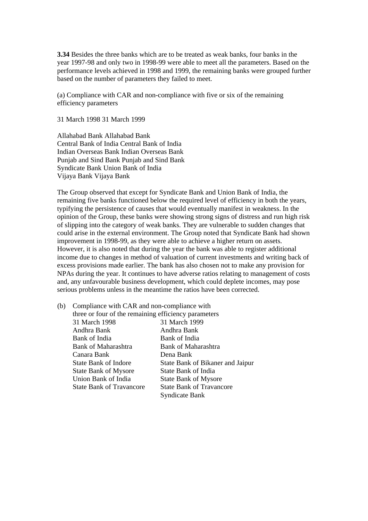**3.34** Besides the three banks which are to be treated as weak banks, four banks in the year 1997-98 and only two in 1998-99 were able to meet all the parameters. Based on the performance levels achieved in 1998 and 1999, the remaining banks were grouped further based on the number of parameters they failed to meet.

(a) Compliance with CAR and non-compliance with five or six of the remaining efficiency parameters

31 March 1998 31 March 1999

Allahabad Bank Allahabad Bank Central Bank of India Central Bank of India Indian Overseas Bank Indian Overseas Bank Punjab and Sind Bank Punjab and Sind Bank Syndicate Bank Union Bank of India Vijaya Bank Vijaya Bank

The Group observed that except for Syndicate Bank and Union Bank of India, the remaining five banks functioned below the required level of efficiency in both the years, typifying the persistence of causes that would eventually manifest in weakness. In the opinion of the Group, these banks were showing strong signs of distress and run high risk of slipping into the category of weak banks. They are vulnerable to sudden changes that could arise in the external environment. The Group noted that Syndicate Bank had shown improvement in 1998-99, as they were able to achieve a higher return on assets. However, it is also noted that during the year the bank was able to register additional income due to changes in method of valuation of current investments and writing back of excess provisions made earlier. The bank has also chosen not to make any provision for NPAs during the year. It continues to have adverse ratios relating to management of costs and, any unfavourable business development, which could deplete incomes, may pose serious problems unless in the meantime the ratios have been corrected.

| (b) | Compliance with CAR and non-compliance with          |                                  |  |  |  |
|-----|------------------------------------------------------|----------------------------------|--|--|--|
|     | three or four of the remaining efficiency parameters |                                  |  |  |  |
|     | 31 March 1998                                        | 31 March 1999                    |  |  |  |
|     | Andhra Bank                                          | Andhra Bank                      |  |  |  |
|     | Bank of India                                        | Bank of India                    |  |  |  |
|     | Bank of Maharashtra                                  | Bank of Maharashtra              |  |  |  |
|     | Canara Bank                                          | Dena Bank                        |  |  |  |
|     | State Bank of Indore                                 | State Bank of Bikaner and Jaipur |  |  |  |
|     | <b>State Bank of Mysore</b>                          | State Bank of India              |  |  |  |
|     | Union Bank of India                                  | <b>State Bank of Mysore</b>      |  |  |  |
|     | <b>State Bank of Travancore</b>                      | <b>State Bank of Travancore</b>  |  |  |  |
|     |                                                      | <b>Syndicate Bank</b>            |  |  |  |
|     |                                                      |                                  |  |  |  |